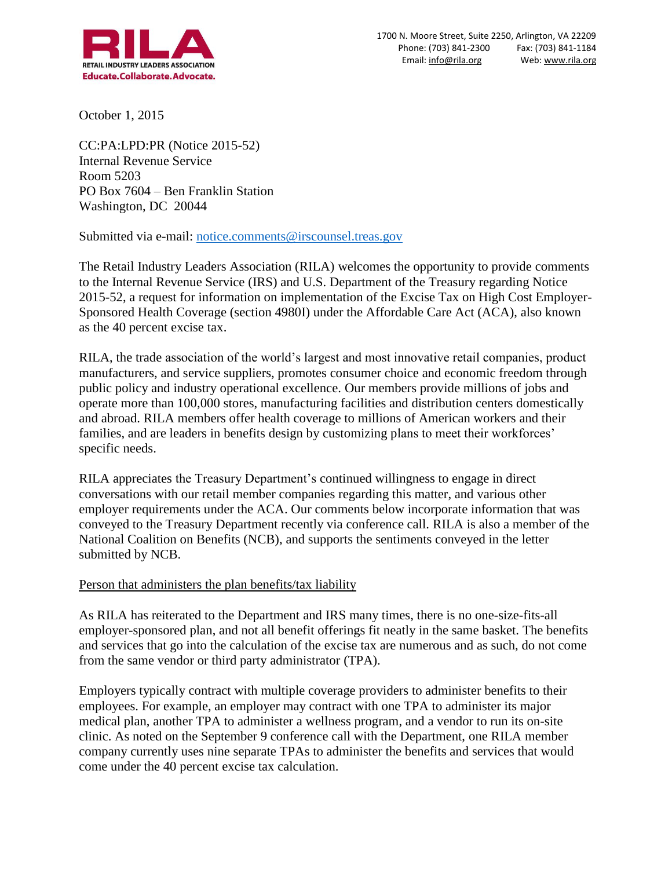

October 1, 2015

CC:PA:LPD:PR (Notice 2015-52) Internal Revenue Service Room 5203 PO Box 7604 – Ben Franklin Station Washington, DC 20044

Submitted via e-mail: [notice.comments@irscounsel.treas.gov](mailto:notice.comments@irscounsel.treas.gov)

The Retail Industry Leaders Association (RILA) welcomes the opportunity to provide comments to the Internal Revenue Service (IRS) and U.S. Department of the Treasury regarding Notice 2015-52, a request for information on implementation of the Excise Tax on High Cost Employer-Sponsored Health Coverage (section 4980I) under the Affordable Care Act (ACA), also known as the 40 percent excise tax.

RILA, the trade association of the world's largest and most innovative retail companies, product manufacturers, and service suppliers, promotes consumer choice and economic freedom through public policy and industry operational excellence. Our members provide millions of jobs and operate more than 100,000 stores, manufacturing facilities and distribution centers domestically and abroad. RILA members offer health coverage to millions of American workers and their families, and are leaders in benefits design by customizing plans to meet their workforces' specific needs.

RILA appreciates the Treasury Department's continued willingness to engage in direct conversations with our retail member companies regarding this matter, and various other employer requirements under the ACA. Our comments below incorporate information that was conveyed to the Treasury Department recently via conference call. RILA is also a member of the National Coalition on Benefits (NCB), and supports the sentiments conveyed in the letter submitted by NCB.

## Person that administers the plan benefits/tax liability

As RILA has reiterated to the Department and IRS many times, there is no one-size-fits-all employer-sponsored plan, and not all benefit offerings fit neatly in the same basket. The benefits and services that go into the calculation of the excise tax are numerous and as such, do not come from the same vendor or third party administrator (TPA).

Employers typically contract with multiple coverage providers to administer benefits to their employees. For example, an employer may contract with one TPA to administer its major medical plan, another TPA to administer a wellness program, and a vendor to run its on-site clinic. As noted on the September 9 conference call with the Department, one RILA member company currently uses nine separate TPAs to administer the benefits and services that would come under the 40 percent excise tax calculation.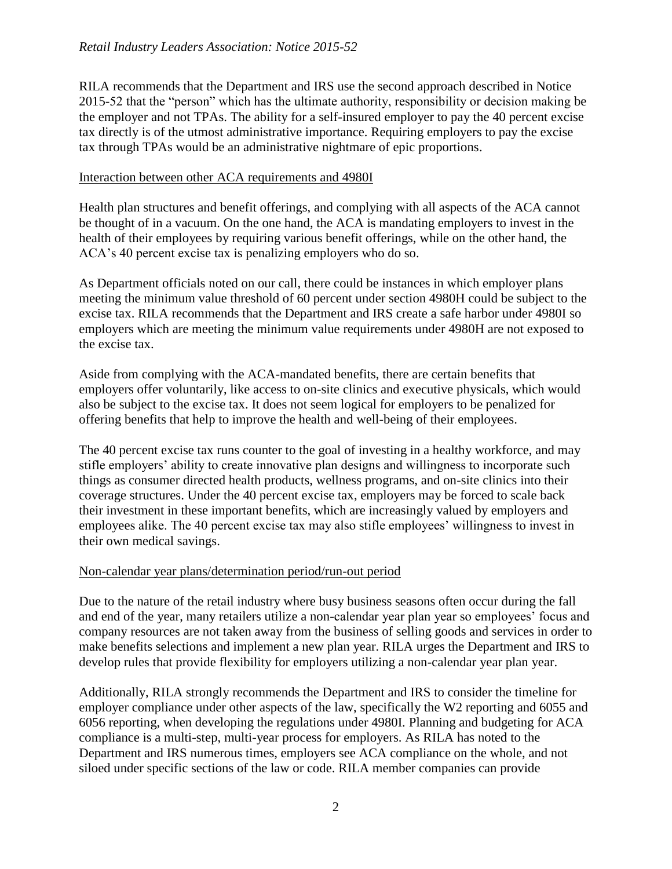RILA recommends that the Department and IRS use the second approach described in Notice 2015-52 that the "person" which has the ultimate authority, responsibility or decision making be the employer and not TPAs. The ability for a self-insured employer to pay the 40 percent excise tax directly is of the utmost administrative importance. Requiring employers to pay the excise tax through TPAs would be an administrative nightmare of epic proportions.

## Interaction between other ACA requirements and 4980I

Health plan structures and benefit offerings, and complying with all aspects of the ACA cannot be thought of in a vacuum. On the one hand, the ACA is mandating employers to invest in the health of their employees by requiring various benefit offerings, while on the other hand, the ACA's 40 percent excise tax is penalizing employers who do so.

As Department officials noted on our call, there could be instances in which employer plans meeting the minimum value threshold of 60 percent under section 4980H could be subject to the excise tax. RILA recommends that the Department and IRS create a safe harbor under 4980I so employers which are meeting the minimum value requirements under 4980H are not exposed to the excise tax.

Aside from complying with the ACA-mandated benefits, there are certain benefits that employers offer voluntarily, like access to on-site clinics and executive physicals, which would also be subject to the excise tax. It does not seem logical for employers to be penalized for offering benefits that help to improve the health and well-being of their employees.

The 40 percent excise tax runs counter to the goal of investing in a healthy workforce, and may stifle employers' ability to create innovative plan designs and willingness to incorporate such things as consumer directed health products, wellness programs, and on-site clinics into their coverage structures. Under the 40 percent excise tax, employers may be forced to scale back their investment in these important benefits, which are increasingly valued by employers and employees alike. The 40 percent excise tax may also stifle employees' willingness to invest in their own medical savings.

## Non-calendar year plans/determination period/run-out period

Due to the nature of the retail industry where busy business seasons often occur during the fall and end of the year, many retailers utilize a non-calendar year plan year so employees' focus and company resources are not taken away from the business of selling goods and services in order to make benefits selections and implement a new plan year. RILA urges the Department and IRS to develop rules that provide flexibility for employers utilizing a non-calendar year plan year.

Additionally, RILA strongly recommends the Department and IRS to consider the timeline for employer compliance under other aspects of the law, specifically the W2 reporting and 6055 and 6056 reporting, when developing the regulations under 4980I. Planning and budgeting for ACA compliance is a multi-step, multi-year process for employers. As RILA has noted to the Department and IRS numerous times, employers see ACA compliance on the whole, and not siloed under specific sections of the law or code. RILA member companies can provide